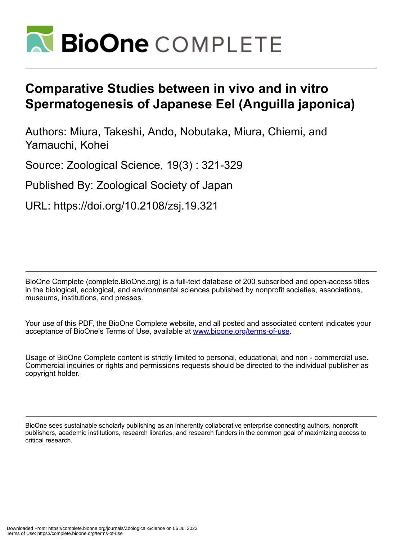

# **Comparative Studies between in vivo and in vitro Spermatogenesis of Japanese Eel (Anguilla japonica)**

Authors: Miura, Takeshi, Ando, Nobutaka, Miura, Chiemi, and Yamauchi, Kohei

Source: Zoological Science, 19(3) : 321-329

Published By: Zoological Society of Japan

URL: https://doi.org/10.2108/zsj.19.321

BioOne Complete (complete.BioOne.org) is a full-text database of 200 subscribed and open-access titles in the biological, ecological, and environmental sciences published by nonprofit societies, associations, museums, institutions, and presses.

Your use of this PDF, the BioOne Complete website, and all posted and associated content indicates your acceptance of BioOne's Terms of Use, available at www.bioone.org/terms-of-use.

Usage of BioOne Complete content is strictly limited to personal, educational, and non - commercial use. Commercial inquiries or rights and permissions requests should be directed to the individual publisher as copyright holder.

BioOne sees sustainable scholarly publishing as an inherently collaborative enterprise connecting authors, nonprofit publishers, academic institutions, research libraries, and research funders in the common goal of maximizing access to critical research.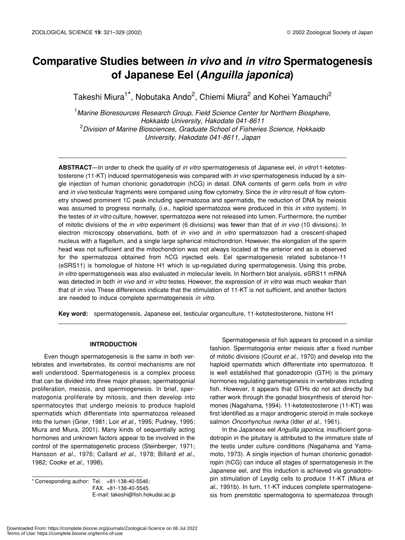# **Comparative Studies between** *in vivo* **and** *in vitro* **Spermatogenesis of Japanese Eel (***Anguilla japonica***)**

Takeshi Miura<sup>1\*</sup>, Nobutaka Ando<sup>2</sup>, Chiemi Miura<sup>2</sup> and Kohei Yamauchi<sup>2</sup>

1 *Marine Bioresources Research Group, Field Science Center for Northern Biosphere, Hokkaido University, Hakodate 041-8611* 2 *Division of Marine Biosciences, Graduate School of Fisheries Science, Hokkaido University, Hakodate 041-8611, Japan*

**ABSTRACT**—In order to check the quality of *in vitro* spermatogenesis of Japanese eel, *in vitro*11-ketotestosterone (11-KT) induced spermatogenesis was compared with *in vivo* spermatogenesis induced by a single injection of human chorionic gonadotropin (hCG) in detail. DNA contents of germ cells from *in vitro* and *in vivo* testicular fragments were compared using flow cytometry. Since the *in vitro* result of flow cytometry showed prominent 1C peak including spermatozoa and spermatids, the reduction of DNA by meiosis was assumed to progress normally, (i.e., haploid spermatozoa were produced in this *in vitro* system). In the testes of *in vitro* culture, however, spermatozoa were not released into lumen. Furthermore, the number of mitotic divisions of the *in vitro* experiment (6 divisions) was fewer than that of *in vivo* (10 divisions). In electron microscopy observations, both of *in vivo* and *in vitro* spermatozoon had a crescent-shaped nucleus with a flagellum, and a single large spherical mitochondrion. However, the elongation of the sperm head was not sufficient and the mitochondrion was not always located at the anterior end as is observed for the spermatozoa obtained from hCG injected eels. Eel spermatogenesis related substance-11 (eSRS11) is homologue of histone H1 which is up-regulated during spermatogenesis. Using this probe, *in vitro* spermatogenesis was also evaluated in molecular levels. In Northern blot analysis, eSRS11 mRNA was detected in both *in vivo* and *in vitro* testes. However, the expression of *in vitro* was much weaker than that of *in vivo*. These differences indicate that the stimulation of 11-KT is not sufficient, and another factors are needed to induce complete spermatogenesis *in vitro*.

**Key word:** spermatogenesis, Japanese eel, testicular organculture, 11-ketotestosterone, histone H1

# **INTRODUCTION**

Even though spermatogenesis is the same in both vertebrates and invertebrates, its control mechanisms are not well understood. Spermatogenesis is a complex process that can be divided into three major phases; spermatogonial proliferation, meiosis, and spermiogenesis. In brief, spermatogonia proliferate by mitosis, and then develop into spermatocytes that undergo meiosis to produce haploid spermatids which differentiate into spermatozoa released into the lumen (Grier, 1981; Loir *et al*., 1995; Pudney, 1995; Miura and Miura, 2001). Many kinds of sequentially acting hormones and unknown factors appear to be involved in the control of the spermatogenetic process (Steinberger, 1971; Hansson *et al*., 1976; Callard *et al*., 1978; Billard *et al*., 1982; Cooke *et al*., 1998).

\* Corresponding author: Tel. +81-138-40-5546; FAX. +81-138-40-5545. E-mail: takeshi@fish.hokudai.ac.jp

Spermatogenesis of fish appears to proceed in a similar fashion. Spermatogonia enter meiosis after a fixed number of mitotic divisions (Courot *et al*., 1970) and develop into the haploid spermatids which differentiate into spermatozoa. It is well established that gonadotropin (GTH) is the primary hormones regulating gametogenesis in vertebrates including fish. However, it appears that GTHs do not act directly but rather work through the gonadal biosynthesis of steroid hormones (Nagahama, 1994). 11-ketotestosterone (11-KT) was first identified as a major androgenic steroid in male sockeye salmon *Oncorhynchus nerka* (Idler *et al*., 1961).

In the Japanese eel *Anguilla japonica*, insufficient gonadotropin in the pituitary is attributed to the immature state of the testis under culture conditions (Nagahama and Yamamoto, 1973). A single injection of human chorionic gonadotropin (hCG) can induce all stages of spermatogenesis in the Japanese eel, and this induction is achieved via gonadotropin stimulation of Leydig cells to produce 11-KT (Miura *et al*., 1991b). In turn, 11-KT induces complete spermatogenesis from premitotic spermatogonia to spermatozoa through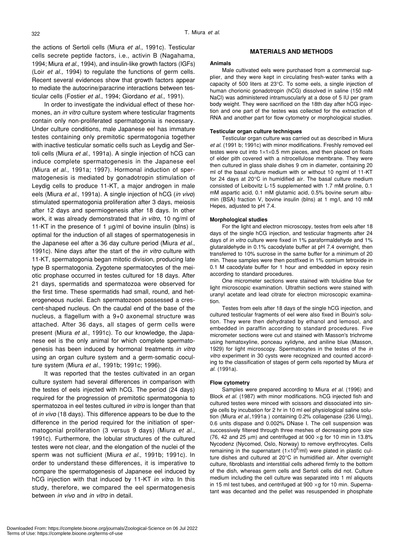the actions of Sertoli cells (Miura *et al*., 1991c). Testicular cells secrete peptide factors, i.e., activin B (Nagahama, 1994; Miura *et al*., 1994), and insulin-like growth factors (IGFs) (Loir *et al*., 1994) to regulate the functions of germ cells. Recent several evidences show that growth factors appear to mediate the autocrine/paracrine interactions between testicular cells (Fostier *et al*., 1994; Giordano *et al*., 1991).

In order to investigate the individual effect of these hormones, an *in vitro* culture system where testicular fragments contain only non-proliferated spermatogonia is necessary. Under culture conditions, male Japanese eel has immature testes containing only premitotic spermatogonia together with inactive testicular somatic cells such as Leydig and Sertoli cells (Miura *et al*., 1991a). A single injection of hCG can induce complete spermatogenesis in the Japanese eel (Miura *et al*., 1991a; 1997). Hormonal induction of spermatogenesis is mediated by gonadotropin stimulation of Leydig cells to produce 11-KT, a major androgen in male eels (Miura *et al*., 1991a). A single injection of hCG (*in vivo*) stimulated spermatogonia proliferation after 3 days, meiosis after 12 days and spermiogenesis after 18 days. In other work, it was already demonstrated that *in vitro*, 10 ng/ml of 11-KT in the presence of 1 ug/ml of bovine insulin (blns) is optimal for the induction of all stages of spermatogenesis in the Japanese eel after a 36 day culture period (Miura *et al*., 1991c). Nine days after the start of the *in vitro* culture with 11-KT, spermatogonia began mitotic division, producing late type B spermatogonia. Zygotene spermatocytes of the meiotic prophase occurred in testes cultured for 18 days. After 21 days, spermatids and spermatozoa were observed for the first time. These spermatids had small, round, and heterogeneous nuclei. Each spermatozoon possessed a crescent-shaped nucleus. On the caudal end of the base of the nucleus, a flagellum with a 9+0 axonemal structure was attached. After 36 days, all stages of germ cells were present (Miura *et al*., 1991c). To our knowledge, the Japanese eel is the only animal for which complete spermatogenesis has been induced by hormonal treatments *in vitro* using an organ culture system and a germ-somatic coculture system (Miura *et al*., 1991b; 1991c; 1996).

It was reported that the testes cultivated in an organ culture system had several differences in comparison with the testes of eels injected with hCG. The period (24 days) required for the progression of premitotic spermatogonia to spermatozoa in eel testes cultured *in vitro* is longer than that of *in vivo* (18 days). This difference appears to be due to the difference in the period required for the initiation of spermatogonial proliferation (3 versus 9 days) (Miura *et al*., 1991c). Furthermore, the lobular structures of the cultured testes were not clear, and the elongation of the nuclei of the sperm was not sufficient (Miura *et al.*, 1991b; 1991c). In order to understand these differences, it is imperative to compare the spermatogenesis of Japanese eel induced by hCG injection with that induced by 11-KT *in vitro.* In this study, therefore, we compared the eel spermatogenesis between *in vivo* and *in vitro* in detail.

# **MATERIALS AND METHODS**

#### **Animals**

Male cultivated eels were purchased from a commercial supplier, and they were kept in circulating fresh-water tanks with a capacity of 500 liters at 23°C. To some eels, a single injection of human chorionic gonadotropin (hCG) dissolved in saline (150 mM NaCl) was administered intramuscularly at a dose of 5 IU per gram body weight. They were sacrificed on the 18th day after hCG injection and one part of the testes was collected for the extraction of RNA and another part for flow cytometry or morphological studies.

#### **Testicular organ culture techniques**

Testicular organ culture was carried out as described in Miura *et al*. (1991 b; 1991c) with minor modifications. Freshly removed eel testes were cut into  $1 \times 1 \times 0.5$  mm pieces, and then placed on floats of elder pith covered with a nitrocellulose membrane. They were then cultured in glass shale dishes 9 cm in diameter, containing 20 ml of the basal culture medium with or without 10 ng/ml of 11-KT for 24 days at 20°C in humidified air. The basal culture medium consisted of Leibovitz L-15 supplemented with 1.7 mM proline, 0.1 mM aspartic acid, 0.1 mM glutamic acid, 0.5% bovine serum albumin (BSA) fraction V, bovine insulin (bIns) at 1 mg/l, and 10 mM Hepes, adjusted to pH 7.4.

#### **Morphological studies**

For the light and electron microscopy, testes from eels after 18 days of the single hCG injection, and testicular fragments after 24 days of *in vitro* culture were fixed in 1% paraformaldehyde and 1% glutaraldehyde in 0.1% cacodylate buffer at pH 7.4 overnight, then transferred to 10% sucrose in the same buffer for a minimum of 20 min. These samples were then postfixed in 1% osmium tetroxide in 0.1 M cacodylate buffer for 1 hour and embedded in epoxy resin according to standard procedures.

One micrometer sections were stained with toluidine blue for light microscopic examination. Ultrathin sections were stained with uranyl acetate and lead citrate for electron microscopic examination.

Testes from eels after 18 days of the single hCG injection, and cultured testicular fragments of eel were also fixed in Bouin's solution. They were then dehydrated by ethanol and lemosol, and embedded in paraffin according to standard procedures. Five micrometer sections were cut and stained with Masson's trichrome using hematoxyline, ponceau xylidyne, and aniline blue (Masson, 1929) for light microscopy. Spermatocytes in the testes of the *in vitro* experiment in 30 cysts were recognized and counted according to the classification of stages of germ cells reported by Miura *et al*. (1991a).

#### **Flow cytometry**

Samples were prepared according to Miura *et al*. (1996) and Block *et al*. (1987) with minor modifications. hCG injected fish and cultured testes were minced with scissors and dissociated into single cells by incubation for 2 hr in 10 ml eel physiological saline solution (Miura *et al*.,1991a ) containing 0.2% collagenase (236 U/mg), 0.6 units dispase and 0.002% DNase I. The cell suspension was successively filtered through three meshes of decreasing pore size (76, 42 and 25  $\mu$ m) and centrifuged at 900  $\times$ g for 10 min in 13.8% Nycodenz (Nycomed, Oslo, Norway) to remove erythrocytes. Cells remaining in the supernatant (1 $\times$ 10<sup>6</sup>/ml) were plated in plastic culture dishes and cultured at 20°C in humidified air. After overnight culture, fibroblasts and interstitial cells adhered firmly to the bottom of the dish, whereas germ cells and Sertoli cells did not. Culture medium including the cell culture was separated into 1 ml aliquots in 15 ml test tubes, and centrifuged at 900  $\times$ g for 10 min. Supernatant was decanted and the pellet was resuspended in phosphate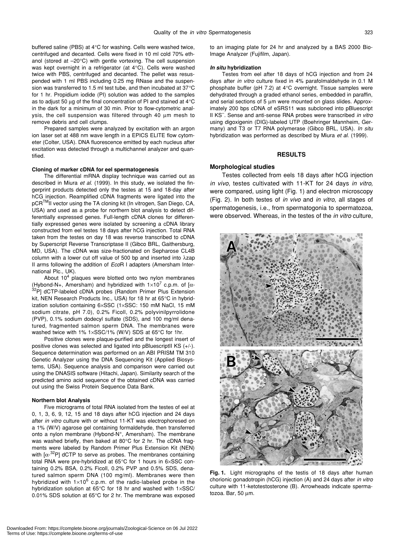buffered saline (PBS) at 4°C for washing. Cells were washed twice, centrifuged and decanted. Cells were fixed in 10 ml cold 70% ethanol (stored at –20°C) with gentle vortexing. The cell suspension was kept overnight in a refrigerator (at 4°C). Cells were washed twice with PBS, centrifuged and decanted. The pellet was resuspended with 1 ml PBS including 0.25 mg RNase and the suspension was transferred to 1.5 ml test tube, and then incubated at 37°C for 1 hr. Propidium iodide (PI) solution was added to the samples as to adjust 50  $\mu$ g of the final concentration of PI and stained at 4 $\rm ^{\circ}C$ in the dark for a minimum of 30 min. Prior to flow-cytometric analysis, the cell suspension was filtered through 40 µm mesh to remove debris and cell clumps.

Prepared samples were analyzed by excitation with an argon ion laser set at 488 nm wave length in a EPICS ELITE flow cytometer (Colter, USA). DNA fluorescence emitted by each nucleus after excitation was detected through a multichannel analyzer and quantified.

#### **Cloning of marker cDNA for eel spermatogenesis**

The differential mRNA display technique was carried out as described in Miura *et al*. (1999). In this study, we isolated the fingerprint products detected only the testes at 15 and 18-day after hCG injection. Reamplified cDNA fragments were ligated into the pCR™II vector using the TA cloning kit (In vitrogen, San Diego, CA, USA) and used as a probe for northern blot analysis to detect differentially expressed genes. Full-length cDNA clones for differentially expressed genes were isolated by screening a cDNA library constructed from eel testes 18 days after hCG injection. Total RNA taken from the testes on day 18 was reverse transcribed to cDNA by Superscript Reverse Transcriptase II (Gibco BRL, Gaithersburg, MD, USA). The cDNA was size-fractionated on Sepharose CL4B column with a lower cut off value of 500 bp and inserted into λzap II arms following the addition of *Eco*R I adapters (Amersham International Plc., UK).

About  $10^4$  plaques were blotted onto two nylon membranes (Hybond-N+, Amersham) and hybridized with  $1\times10^7$  c.p.m. of [ $\alpha$ -32P] dCTP-labeled cDNA probes (Random Primer Plus Extension kit, NEN Research Products Inc., USA) for 18 hr at 65°C in hybridization solution containing 6×SSC (1×SSC: 150 mM NaCl, 15 mM sodium citrate, pH 7.0), 0.2% Ficoll, 0.2% polyvinilpyrrolidone (PVP), 0.1% sodium dodecyl sulfate (SDS), and 100 mg/ml denatured, fragmented salmon sperm DNA. The membranes were washed twice with 1% 1×SSC/1% (W/V) SDS at 65°C for 1hr.

Positive clones were plaque-purified and the longest insert of positive clones was selected and ligated into pBluescriptII KS (+/-). Sequence determination was performed on an ABI PRISM TM 310 Genetic Analyzer using the DNA Sequencing Kit (Applied Biosystems, USA). Sequence analysis and comparison were carried out using the DNASIS software (Hitachi, Japan). Similarity search of the predicted amino acid sequence of the obtained cDNA was carried out using the Swiss Protein Sequence Data Bank.

#### **Northern blot Analysis**

Five micrograms of total RNA isolated from the testes of eel at 0, 1, 3, 6, 9, 12, 15 and 18 days after hCG injection and 24 days after *in vitro* culture with or without 11-KT was electrophoresed on a 1% (W/V) agarose gel containing formaldehyde, then transferred onto a nylon membrane (Hybond-N<sup>+</sup>, Amersham). The membrane was washed briefly, then baked at 80°C for 2 hr. The cDNA fragments were labeled by Random Primer Plus Extension Kit (NEN) with  $\lbrack \alpha ^{-32}P \rbrack$  dCTP to serve as probes. The membranes containing total RNA were pre-hybridized at 65°C for 1 hours in 6×SSC containing 0.2% BSA, 0.2% Ficoll, 0.2% PVP and 0.5% SDS, denatured salmon sperm DNA (100 mg/ml). Membranes were then hybridized with  $1\times10^6$  c.p.m. of the radio-labeled probe in the hybridization solution at 65°C for 18 hr and washed with 1×SSC/ 0.01% SDS solution at 65°C for 2 hr. The membrane was exposed to an imaging plate for 24 hr and analyzed by a BAS 2000 Bio-Image Analyzer (Fujifilm, Japan).

# *In situ* **hybridization**

Testes from eel after 18 days of hCG injection and from 24 days after *in vitro* culture fixed in 4% parafolmaldehyde in 0.1 M phosphate buffer (pH 7.2) at 4°C overnight. Tissue samples were dehydrated through a graded ethanol series, embedded in paraffin, and serial sections of 5 µm were mounted on glass slides. Approximately 200 bps cDNA of eSRS11 was subcloned into pBluescript II KS– . Sense and anti-sense RNA probes were transcribed *in vitro* using digoxigenin (DIG)-labeled UTP (Boehringer Mannheim, Germany) and T3 or T7 RNA polymerase (Gibco BRL, USA). *In situ* hybridization was performed as described by Miura *et al*. (1999).

## **RESULTS**

#### **Morphological studies**

Testes collected from eels 18 days after hCG injection *in vivo*, testes cultivated with 11-KT for 24 days *in vitro,* were compared, using light (Fig. 1) and electron microscopy (Fig. 2). In both testes of *in vivo* and *in vitro*, all stages of spermatogenesis, i.e., from spermatogonia to spermatozoa, were observed. Whereas, in the testes of the *in vitro* culture,



**Fig. 1.** Light micrographs of the testis of 18 days after human chorionic gonadotropin (hCG) injection (A) and 24 days after *in vitro* culture with 11-ketotestosterone (B). Arrowheads indicate spermatozoa. Bar, 50 µm.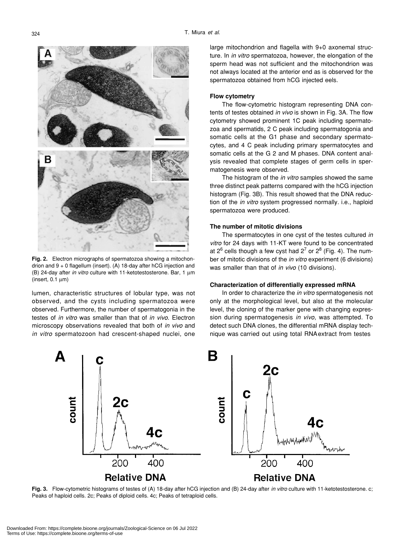**Fig. 2.** Electron micrographs of spermatozoa showing a mitochondrion and 9 + 0 flagellum (insert). (A) 18-day after hCG injection and (B) 24-day after *in vitro* culture with 11-ketotestosterone. Bar, 1 µm  $(inset, 0.1 \mu m)$ 

lumen, characteristic structures of lobular type, was not observed, and the cysts including spermatozoa were observed. Furthermore, the number of spermatogonia in the testes of *in vitro* was smaller than that of *in vivo*. Electron microscopy observations revealed that both of *in vivo* and *in vitro* spermatozoon had crescent-shaped nuclei, one large mitochondrion and flagella with 9+0 axonemal structure. In *in vitro* spermatozoa, however, the elongation of the sperm head was not sufficient and the mitochondrion was not always located at the anterior end as is observed for the spermatozoa obtained from hCG injected eels.

# **Flow cytometry**

The flow-cytometric histogram representing DNA contents of testes obtained *in vivo* is shown in Fig. 3A. The flow cytometry showed prominent 1C peak including spermatozoa and spermatids, 2 C peak including spermatogonia and somatic cells at the G1 phase and secondary spermatocytes, and 4 C peak including primary spermatocytes and somatic cells at the G 2 and M phases. DNA content analysis revealed that complete stages of germ cells in spermatogenesis were observed.

The histogram of the *in vitro* samples showed the same three distinct peak patterns compared with the hCG injection histogram (Fig. 3B). This result showed that the DNA reduction of the *in vitro* system progressed normally. i.e., haploid spermatozoa were produced.

# **The number of mitotic divisions**

The spermatocytes in one cyst of the testes cultured *in vitro* for 24 days with 11-KT were found to be concentrated at 2<sup>6</sup> cells though a few cyst had 2<sup>7</sup> or 2<sup>8</sup> (Fig. 4). The number of mitotic divisions of the *in vitro* experiment (6 divisions) was smaller than that of *in vivo* (10 divisions).

# **Characterization of differentially expressed mRNA**

In order to characterize the *in vitro* spermatogenesis not only at the morphological level, but also at the molecular level, the cloning of the marker gene with changing expression during spermatogenesis *in vivo*, was attempted. To detect such DNA clones, the differential mRNA display technique was carried out using total RNA extract from testes



**Fig. 3.** Flow-cytometric histograms of testes of (A) 18-day after hCG injection and (B) 24-day after *in vitro* culture with 11-ketotestosterone. c; Peaks of haploid cells. 2c; Peaks of diploid cells. 4c; Peaks of tetraploid cells.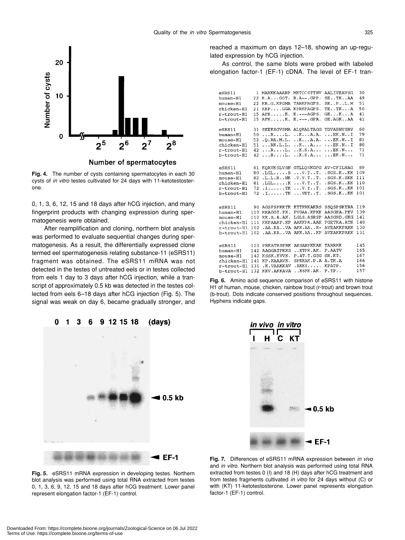

Number of spermatocytes

**Fig. 4.** The number of cysts containing spermatocytes in each 30 cysts of *in vitro* testes cultivated for 24 days with 11-ketotestosterone.

0, 1, 3, 6, 12, 15 and 18 days after hCG injection, and many fingerprint products with changing expression during spermatogenesis were obtained.

After reamplification and cloning, northern blot analysis was performed to evaluate sequential changes during spermatogenesis. As a result, the differentially expressed clone termed eel spermatogenesis relating substance-11 (eSRS11) fragment was obtained. The eSRS11 mRNA was not detected in the testes of untreated eels or in testes collected from eels 1 day to 3 days after hCG injection, while a transcript of approximately 0.5 kb was detected in the testes collected from eels 6–18 days after hCG injection (Fig. 5). The signal was weak on day 6, became gradually stronger, and



reached a maximum on days 12–18, showing an up-regulated expression by hCG injection.

As control, the same blots were probed with labeled elongation factor-1 (EF-1) cDNA. The level of EF-1 tran-

| $e$ SRS $11$  | 1   | MARKKAAARP               | MKTCCSTTNV                     | <b>AALIVEAVSG</b>       | 30  |
|---------------|-----|--------------------------|--------------------------------|-------------------------|-----|
| human-H1      | 22  | K.A. GGT.                | $R.A--.GPP.$                   | $SE$ T $K$ $AA$         | 49  |
| mouse-H1      | 22  | KR.G.KPGMA               | TARKPRGFS.                     | SK., P., L.M            | 51  |
| chicken-H1    | 21  | KKPGGA                   | KPRKPAGPS.                     | TE. .TK. A              | 50  |
| r-trout-H1    | 15  | $APK$ $K$ .              | $K. -- AGPS.$                  | $GE \ldots K \ldots A$  | 41  |
| b-trout-H1    | 15  | $APK$ $K$ .              | $K$ .---. $GPA$ .              | $GE$ . A $GK$ . . AA    | 41  |
|               |     |                          |                                |                         |     |
| eSRS11        | 31  |                          | SKEKSGVSMA ALQKALTAGG          | YDVAHNVSRV              | 60  |
| human-H1      | 50  | $\ldots$ R $\ldots$ L.   | K. K. A. A.                    | $\ldots$ EK.N.I         | 79  |
| mouse-H1      | 52  | .0.RA.M.L.               | ,KA.A.                         | $\ldots$ EK.N.I         | 81  |
| chicken-H1    | 51  | $\ldots$ RK.L.L.         | $\ldots$ K $\ldots$ A $\ldots$ | $\ldots$ EK.N.I         | 80  |
| r-trout-H1    | 42  | $\ldots$ R $\ldots$ L.   | $,K.S.A.$ .                    | $\ldots$ EK.N. $\ldots$ | 71  |
| b-trout-H1    | 42  | $\ldots$ R $\ldots$ L.   | $,K.S.A.$ .                    | $\ldots$ EK.N. $\ldots$ | 71  |
|               |     |                          |                                |                         |     |
| $e$ SRS $11$  | 61  | KOAVKSLVSN               | <b>GTLLOSKGPG</b>              | AV-CFILNAG              | 89  |
| human-H1      | 80  | $.LGL$ $S$               | $\ldots$ V $T \ldots T$ .      | .SGS.KKK                | 109 |
| mouse-H1      | 82  | .L.L.RNK                 | .V.V.T. .T.                    | .SGS.K.SKK              | 111 |
| chicken-Hl    | 81  | $.LGL$ $K$               | $\ldots$ v. T. . T.            | $.SGS.K.$ . $KK$        | 110 |
| $r$ -trout-Hl | 72  | $\ldots$ . $\ldots$ . TK | $\ldots$ V. T. $\ldots$ T.     | $.SGS.K.$ . $KK$        | 101 |
| b-trout-H1    | 72  | $\ldots$ . $\ldots$ . TK | $\ldots$ VETT.                 | .SGS.KKK                | 101 |
|               |     |                          |                                |                         |     |
|               |     |                          |                                |                         |     |
| essRS11       | 90  | AGSPSPKKTK KTTPRKAKRS    |                                | <b>SSOSPSKTRA</b>       | 119 |
| human-H1      | 110 | KKAGGT.PK.               | PVGAA.KPKK                     | AASGEA.PKV              | 139 |
| mouse-H1      | 112 | KK.A.A.AK.               | LGLS. ASRSP                    | AASGND.GKG              | 141 |
| chicken-H1    | 111 | KKPAAKP.KP               | AAKKPA.AAK                     | PGETKA.ATK              | 140 |
| r-trout-Hl    | 102 | .AA.KAVA                 | AKK.AAK-                       | <b>AVEAKKPAKK</b>       | 130 |
| b-trout-Hl    | 102 | .AA.KAVA                 | AKK.AAKP                       | <b>AVEAKKPAKK</b>       | 131 |
|               |     |                          |                                |                         |     |
| $e$ SRS $11$  | 120 | PRKATRSPRK               | AKSARPKKAK                     | TARRKK                  | 145 |
| human-H1      | 142 | <b>AAGGATPKKS</b>        | KTPK.AK.                       | P.AATV                  | 165 |
| mouse-H1      | 142 | KSSK.KVVK.               | P.AT.T.GSG                     | SR.KT.                  | 167 |
| chicken-H1    | 141 | KP.KAAAVK.               | SPKKAK.P.A                     | A.TK.A                  | 166 |
| r-trout-H1    | 131 | .K. VAAKKAV              | AKKS                           | KPATP.                  | 156 |
| b-trout-H1    | 132 | KKV.AKKAVA               | KSPK.AK.                       | P.TP.                   | 157 |

**Fig. 6.** Amino acid sequence comparison of eSRS11 with histone H1 of human, mouse, chicken, rainbow trout (r-trout) and brown trout (b-trout). Dots indicate conserved positions throughout sequences. Hyphens indicate gaps.



**Fig. 5.** eSRS11 mRNA expression in developing testes. Northern blot analysis was performed using total RNA extracted from testes 0, 1, 3, 6, 9, 12, 15 and 18 days after hCG treatment. Lower panel represent elongation factor-1 (EF-1) control.

**Fig. 7.** Differences of eSRS11 mRNA expression between *in vivo* and *in vitro*. Northern blot analysis was performed using total RNA extracted from testes 0 (I) and 18 (H) days after hCG treatment and from testes fragments cultivated *in vitro* for 24 days without (C) or with (KT) 11-ketotestosterone. Lower panel represents elongation factor-1 (EF-1) control.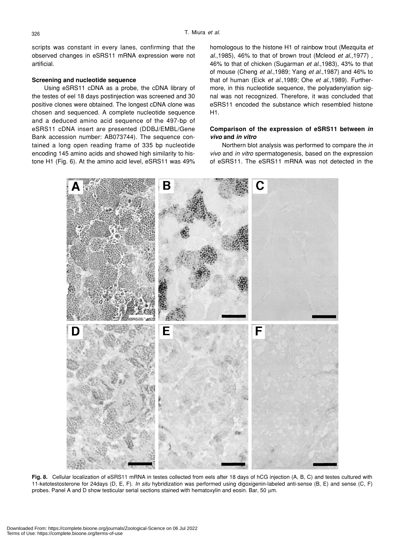scripts was constant in every lanes, confirming that the observed changes in eSRS11 mRNA expression were not artificial.

# **Screening and nucleotide sequence**

Using eSRS11 cDNA as a probe, the cDNA library of the testes of eel 18 days postinjection was screened and 30 positive clones were obtained. The longest cDNA clone was chosen and sequenced. A complete nucleotide sequence and a deduced amino acid sequence of the 497-bp of eSRS11 cDNA insert are presented (DDBJ/EMBL/Gene Bank accession number: AB073744). The sequence contained a long open reading frame of 335 bp nucleotide encoding 145 amino acids and showed high similarity to histone H1 (Fig. 6). At the amino acid level, eSRS11 was 49% homologous to the histone H1 of rainbow trout (Mezquita *et al*.,1985), 46% to that of brown trout (Mcleod *et al*.,1977) , 46% to that of chicken (Sugarman *et al*.,1983), 43% to that of mouse (Cheng *et al*.,1989; Yang *et al*.,1987) and 46% to that of human (Eick *et al*.,1989; Ohe *et al*.,1989). Furthermore, in this nucleotide sequence, the polyadenylation signal was not recognized. Therefore, it was concluded that eSRS11 encoded the substance which resembled histone H1.

# **Comparison of the expression of eSRS11 between** *in vivo* **and** *in vitro*

Northern blot analysis was performed to compare the *in vivo* and *in vitro* spermatogenesis, based on the expression of eSRS11. The eSRS11 mRNA was not detected in the



**Fig. 8.** Cellular localization of eSRS11 mRNA in testes collected from eels after 18 days of hCG injection (A, B, C) and testes cultured with 11-ketotestosterone for 24days (D, E, F). *In situ* hybridization was performed using digoxigenin-labeled anti-sense (B, E) and sense (C, F) probes. Panel A and D show testicular serial sections stained with hematoxylin and eosin. Bar, 50  $\mu$ m.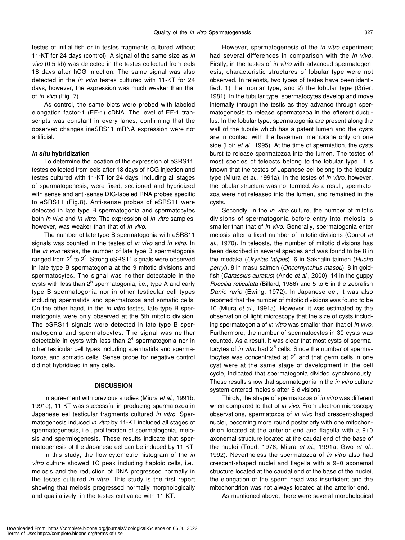testes of initial fish or in testes fragments cultured without 11-KT for 24 days (control). A signal of the same size as *in vivo* (0.5 kb) was detected in the testes collected from eels 18 days after hCG injection. The same signal was also detected in the *in vitro* testes cultured with 11-KT for 24 days, however, the expression was much weaker than that of *in vivo* (Fig. 7).

As control, the same blots were probed with labeled elongation factor-1 (EF-1) cDNA. The level of EF-1 transcripts was constant in every lanes, confirming that the observed changes ineSRS11 mRNA expression were not artificial.

# *in situ* **hybridization**

To determine the location of the expression of eSRS11, testes collected from eels after 18 days of hCG injection and testes cultured with 11-KT for 24 days, including all stages of spermatogenesis, were fixed, sectioned and hybridized with sense and anti-sense DIG-labeled RNA probes specific to eSRS11 (Fig.8). Anti-sense probes of eSRS11 were detected in late type B spermatogonia and spermatocytes both *in vivo* and *in vitro*. The expression of *in vitro* samples, however, was weaker than that of *in vivo*.

The number of late type B spermatogonia with eSRS11 signals was counted in the testes of *in vivo* and *in vitro*. In the *in vivo* testes, the number of late type B spermatogonia ranged from  $2^6$  to  $2^9$ . Strong eSRS11 signals were observed in late type B spermatogonia at the 9 mitotic divisions and spermatocytes. The signal was neither detectable in the cysts with less than 2<sup>5</sup> spermatogonia, i.e., type A and early type B spermatogonia nor in other testicular cell types including spermatids and spermatozoa and somatic cells. On the other hand, in the *in vitro* testes, late type B spermatogonia were only observed at the 5th mitotic division. The eSRS11 signals were detected in late type B spermatogonia and spermatocytes. The signal was neither detectable in cysts with less than  $2^4$  spermatogonia nor in other testicular cell types including spermatids and spermatozoa and somatic cells. Sense probe for negative control did not hybridized in any cells.

# **DISCUSSION**

In agreement with previous studies (Miura *et al*., 1991b; 1991c), 11-KT was successful in producing spermatozoa in Japanese eel testicular fragments cultured *in vitro*. Spermatogenesis induced *in vitro* by 11-KT included all stages of spermatogenesis, i.e., proliferation of spermatogonia, meiosis and spermiogenesis. These results indicate that spermatogenesis of the Japanese eel can be induced by 11-KT.

In this study, the flow-cytometric histogram of the *in vitro* culture showed 1C peak including haploid cells, i.e., meiosis and the reduction of DNA progressed normally in the testes cultured *in vitro*. This study is the first report showing that meiosis progressed normally morphologically and qualitatively, in the testes cultivated with 11-KT.

However, spermatogenesis of the *in vitro* experiment had several differences in comparison with the *in vivo*. Firstly, in the testes of *in vitro* with advanced spermatogenesis, characteristic structures of lobular type were not observed. In teleosts, two types of testes have been identified: 1) the tubular type; and 2) the lobular type (Grier, 1981). In the tubular type, spermatocytes develop and move internally through the testis as they advance through spermatogenesis to release spermatozoa in the efferent ductulus. In the lobular type, spermatogonia are present along the wall of the tubule which has a patent lumen and the cysts are in contact with the basement membrane only on one side (Loir *et al*., 1995). At the time of spermiation, the cysts burst to release spermatozoa into the lumen. The testes of most species of teleosts belong to the lobular type. It is known that the testes of Japanese eel belong to the lobular type (Miura *et al*., 1991a). In the testes of *in vitro*, however, the lobular structure was not formed. As a result, spermatozoa were not released into the lumen, and remained in the cysts.

Secondly, in the *in vitro* culture, the number of mitotic divisions of spermatogonia before entry into meiosis is smaller than that of *in vivo*. Generally, spermatogonia enter meiosis after a fixed number of mitotic divisions (Courot *et al.*, 1970). In teleosts, the number of mitotic divisions has been described in several species and was found to be 8 in the medaka (*Oryzias latipes*), 6 in Sakhalin taimen (*Hucho perryi*), 8 in masu salmon (*Oncorhynchus masou*), 8 in goldfish (*Carassius auratus*) (Ando *et al*., 2000), 14 in the guppy *Poecilia reticulata* (Billard, 1986) and 5 to 6 in the zebrafish *Danio rerio* (Ewing, 1972). In Japanese eel, it was also reported that the number of mitotic divisions was found to be 10 (Miura *et al*., 1991a). However, it was estimated by the observation of light microscopy that the size of cysts including spermatogonia of *in vitro* was smaller than that of *in vivo*. Furthermore, the number of spermatocytes in 30 cysts was counted. As a result, it was clear that most cysts of spermatocytes of *in vitro* had 2<sup>6</sup> cells. Since the number of spermatocytes was concentrated at  $2<sup>n</sup>$  and that germ cells in one cyst were at the same stage of development in the cell cycle, indicated that spermatogonia divided synchronously. These results show that spermatogonia in the *in vitro* culture system entered meiosis after 6 divisions.

Thirdly, the shape of spermatozoa of *in vitro* was different when compared to that of *in vivo*. From electron microscopy observations, spermatozoa of *in vivo* had crescent-shaped nuclei, becoming more round posteriorly with one mitochondrion located at the anterior end and flagella with a 9+0 axonemal structure located at the caudal end of the base of the nuclei (Todd, 1976; Miura *et al*., 1991a; Gwo *et al.*, 1992). Nevertheless the spermatozoa of *in vitro* also had crescent-shaped nuclei and flagella with a 9+0 axonemal structure located at the caudal end of the base of the nuclei, the elongation of the sperm head was insufficient and the mitochondrion was not always located at the anterior end.

As mentioned above, there were several morphological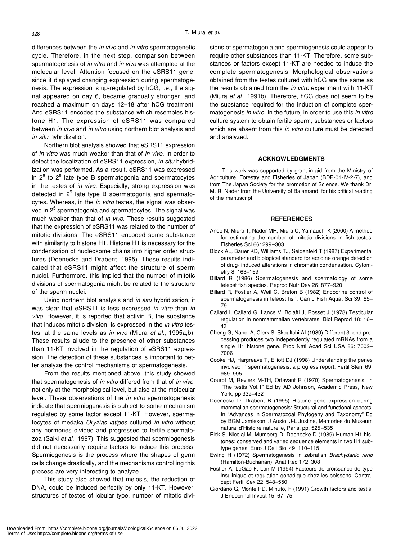differences between the *in vivo* and *in vitro* spermatogenetic cycle. Therefore, in the next step, comparison between spermatogenesis of *in vitro* and *in vivo* was attempted at the molecular level. Attention focused on the eSRS11 gene, since it displayed changing expression during spermatogenesis. The expression is up-regulated by hCG, i.e., the signal appeared on day 6, became gradually stronger, and reached a maximum on days 12–18 after hCG treatment. And eSRS11 encodes the substance which resembles histone H1. The expression of eSRS11 was compared between *in vivo* and *in vitro* using northern blot analysis and *in situ* hybridization.

Northern blot analysis showed that eSRS11 expression of *in vitro* was much weaker than that of *in vivo*. In order to detect the localization of eSRS11 expression, *in situ* hybridization was performed. As a result, eSRS11 was expressed in  $2^6$  to  $2^9$  late type B spermatogonia and spermatocytes in the testes of *in vivo*. Especially, strong expression was detected in 2<sup>9</sup> late type B spermatogonia and spermatocytes. Whereas, in the *in vitro* testes, the signal was observed in 2<sup>5</sup> spermatogonia and spermatocytes. The signal was much weaker than that of *in vivo*. These results suggested that the expression of eSRS11 was related to the number of mitotic divisions. The eSRS11 encoded some substance with similarity to histone H1. Histone H1 is necessary for the condensation of nucleosome chains into higher order structures (Doenecke and Drabent, 1995). These results indicated that eSRS11 might affect the structure of sperm nuclei. Furthermore, this implied that the number of mitotic divisions of spermatogonia might be related to the structure of the sperm nuclei.

Using northern blot analysis and *in situ* hybridization, it was clear that eSRS11 is less expressed *in vitro* than *in vivo*. However, it is reported that activin B, the substance that induces mitotic division, is expressed in the *in vitro* testes, at the same levels as *in vivo* (Miura *et al*., 1995a,b). These results allude to the presence of other substances than 11-KT involved in the regulation of eSRS11 expression. The detection of these substances is important to better analyze the control mechanisms of spermatogenesis.

From the results mentioned above, this study showed that spermatogenesis of *in vitro* differed from that of *in vivo*, not only at the morphological level, but also at the molecular level. These observations of the *in vitro* spermatogenesis indicate that spermiogenesis is subject to some mechanism regulated by some factor except 11-KT. However, spermatocytes of medaka *Oryzias latipes* cultured *in vitro* without any hormones divided and progressed to fertile spermatozoa (Saiki *et al*., 1997). This suggested that spermiogenesis did not necessarily require factors to induce this process. Spermiogenesis is the process where the shapes of germ cells change drastically, and the mechanisms controlling this process are very interesting to analyze.

This study also showed that meiosis, the reduction of DNA, could be induced perfectly by only 11-KT. However, structures of testes of lobular type, number of mitotic divisions of spermatogonia and spermiogenesis could appear to require other substances than 11-KT. Therefore, some substances or factors except 11-KT are needed to induce the complete spermatogenesis. Morphological observations obtained from the testes cultured with hCG are the same as the results obtained from the *in vitro* experiment with 11-KT (Miura *et al*., 1991b). Therefore, hCG does not seem to be the substance required for the induction of complete spermatogenesis *in vitro*. In the future, in order to use this *in vitro* culture system to obtain fertile sperm, substances or factors which are absent from this *in vitro* culture must be detected and analyzed.

# **ACKNOWLEDGMENTS**

This work was supported by grant-in-aid from the Ministry of Agriculture, Forestry and Fisheries of Japan (BDP-01-IV-2-7), and from The Japan Society for the promotion of Science. We thank Dr. M. R. Nader from the University of Balamand, for his critical reading of the manuscript.

#### **REFERENCES**

- Ando N, Miura T, Nader MR, Miura C, Yamauchi K (2000) A method for estimating the number of mitotic divisions in fish testes. Fisheries Sci 66: 299–303
- Block AL, Bauer KD, Williams TJ, Seidenfeld T (1987) Experimental parameter and biological standard for acridine orange detection of drug- induced alterations in chromatin condensation. Cytometry 8: 163–169
- Billard R (1986) Spermatogenesis and spermatology of some teleost fish species. Reprod Nutr Dev 26: 877–920
- Billard R, Fostier A, Weil C, Breton B (1982) Endocrine control of spermatogenesis in teleost fish. Can J Fish Aquat Sci 39: 65– 79
- Callard I, Callard G, Lance V, Bolaffi J, Rosset J (1978) Testicular regulation in nonmammalian vertebrates. Biol Reprod 18: 16– 43
- Cheng G, Nandi A, Clerk S, Skoultchi AI (1989) Different 3'-end processing produces two independently regulated mRNAs from a single H1 histone gene. Proc Natl Acad Sci USA 86: 7002– 7006
- Cooke HJ, Hargreave T, Elliott DJ (1998) Understanding the genes involved in spermatogenesis: a progress report. Fertil Steril 69: 989–995
- Courot M, Reviers M-TH, Ortavant R (1970) Spermatogenesis. In "The testis Vol.1" Ed by AD Johnson, Academic Press, New York, pp 339–432
- Doenecke D, Drabent B (1995) Histone gene expression during mammalian spermatogenesis: Structural and functional aspects. In "Advances in Spermatozoal Phylogeny and Taxonomy" Ed by BGM Jamieson, J Ausio, J-L Justine, Memories du Museum natural d'Histoire naturelle, Paris, pp. 525–535
- Eick S, Nicolai M, Mumberg D, Doenecke D (1989) Human H1 histones: conserved and varied sequence elements in two H1 subtype genes. Euro J Cell Biol 49: 110–115
- Ewing H (1972) Spermatogenesis in zebrafish *Brachydanio rerio* (Hamilton-Buchanan). Anat Rec 172: 308
- Fostier A, LeGac F, Loir M (1994) Facteurs de croissance de type insulinique et regulation gonadique chez les poissons. Contracept Fertil Sex 22: 548–550
- Giordano G, Monte PD, Minuto, F (1991) Growth factors and testis. J Endocrinol Invest 15: 67–75